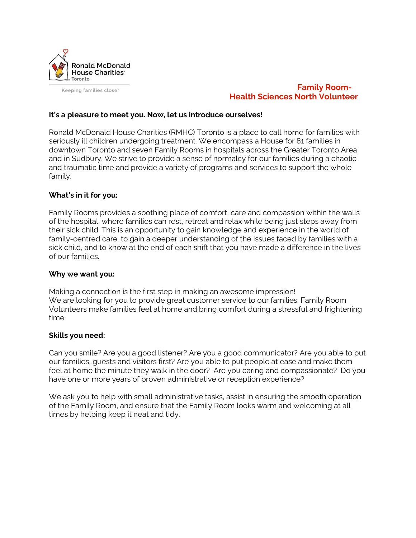

Keeping families close™

# **Family Room- Health Sciences North Volunteer**

# **It's a pleasure to meet you. Now, let us introduce ourselves!**

Ronald McDonald House Charities (RMHC) Toronto is a place to call home for families with seriously ill children undergoing treatment. We encompass a House for 81 families in downtown Toronto and seven Family Rooms in hospitals across the Greater Toronto Area and in Sudbury. We strive to provide a sense of normalcy for our families during a chaotic and traumatic time and provide a variety of programs and services to support the whole family.

#### **What's in it for you:**

Family Rooms provides a soothing place of comfort, care and compassion within the walls of the hospital, where families can rest, retreat and relax while being just steps away from their sick child. This is an opportunity to gain knowledge and experience in the world of family-centred care, to gain a deeper understanding of the issues faced by families with a sick child, and to know at the end of each shift that you have made a difference in the lives of our families.

#### **Why we want you:**

Making a connection is the first step in making an awesome impression! We are looking for you to provide great customer service to our families. Family Room Volunteers make families feel at home and bring comfort during a stressful and frightening time.

#### **Skills you need:**

Can you smile? Are you a good listener? Are you a good communicator? Are you able to put our families, guests and visitors first? Are you able to put people at ease and make them feel at home the minute they walk in the door? Are you caring and compassionate? Do you have one or more years of proven administrative or reception experience?

We ask you to help with small administrative tasks, assist in ensuring the smooth operation of the Family Room, and ensure that the Family Room looks warm and welcoming at all times by helping keep it neat and tidy.